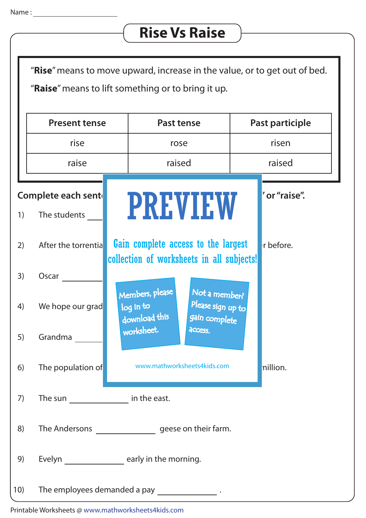## **Rise Vs Raise**

"**Rise**" means to move upward, increase in the value, or to get out of bed. "**Raise**" means to lift something or to bring it up.

|     | <b>Present tense</b>                              | <b>Past tense</b>                                                                                    | Past participle |
|-----|---------------------------------------------------|------------------------------------------------------------------------------------------------------|-----------------|
|     | rise                                              | rose                                                                                                 | risen           |
|     | raise                                             | raised                                                                                               | raised          |
| 1)  | Complete each sent<br>The students                | <b>PREVIEW</b>                                                                                       | " or "raise".   |
| 2)  | After the torrential                              | Gain complete access to the largest<br>collection of worksheets in all subjects!                     | r before.       |
| 3)  | Oscar                                             |                                                                                                      |                 |
| 4)  | We hope our grad                                  | Members, please<br>Not a member?<br>Please sign up to<br>log in to<br>download this<br>gain complete |                 |
| 5)  | Grandma                                           | worksheet.<br>access.                                                                                |                 |
| 6)  | The population of                                 | www.mathworksheets4kids.com                                                                          | nillion.        |
| 7)  | The sun __________________ in the east.           |                                                                                                      |                 |
| 8)  |                                                   |                                                                                                      |                 |
| 9)  |                                                   | Evelyn ___________________ early in the morning.                                                     |                 |
| 10) | The employees demanded a pay ___________________. |                                                                                                      |                 |